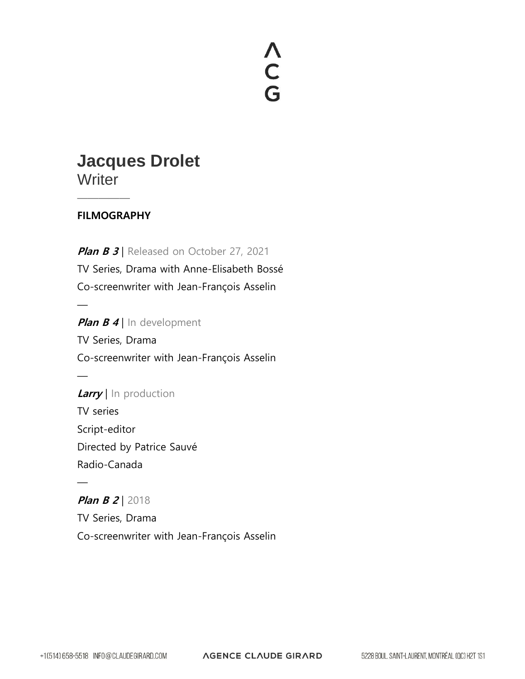# A<br>C<br>G

## **Jacques Drolet Writer**

#### **FILMOGRAPHY**

—————

 $\frac{1}{\sqrt{2}}$ 

 $\frac{1}{\sqrt{2}}$ 

—

**Plan B 3** Released on October 27, 2021 TV Series, Drama with Anne-Elisabeth Bossé Co-screenwriter with Jean-François Asselin

**Plan B 4** | In development TV Series, Drama Co-screenwriter with Jean-François Asselin

**Larry** | In production TV series Script-editor Directed by Patrice Sauvé Radio-Canada

**Plan B 2 | 2018** TV Series, Drama Co-screenwriter with Jean-François Asselin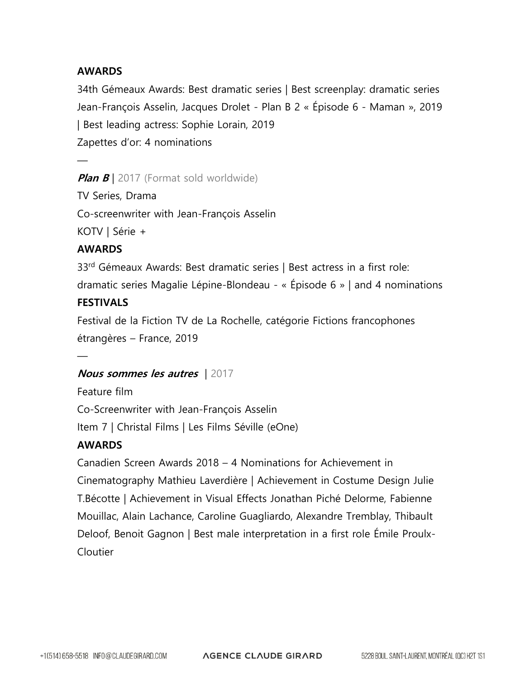#### **AWARDS**

34th Gémeaux Awards: Best dramatic series | Best screenplay: dramatic series Jean-François Asselin, Jacques Drolet - Plan B 2 « Épisode 6 - Maman », 2019 | Best leading actress: Sophie Lorain, 2019 Zapettes d'or: 4 nominations

**Plan B** | 2017 (Format sold worldwide)

TV Series, Drama

Co-screenwriter with Jean-François Asselin

KOTV | Série +

#### **AWARDS**

—

33<sup>rd</sup> Gémeaux Awards: Best dramatic series | Best actress in a first role:

dramatic series Magalie Lépine-Blondeau - « Épisode 6 » | and 4 nominations

#### **FESTIVALS**

 $\frac{1}{\sqrt{2}}$ 

Festival de la Fiction TV de La Rochelle, catégorie Fictions francophones étrangères – France, 2019

#### **Nous sommes les autres** | 2017

Feature film Co-Screenwriter with Jean-François Asselin Item 7 | Christal Films | Les Films Séville (eOne)

#### **AWARDS**

Canadien Screen Awards 2018 – 4 Nominations for Achievement in Cinematography Mathieu Laverdière | Achievement in Costume Design Julie T.Bécotte | Achievement in Visual Effects Jonathan Piché Delorme, Fabienne Mouillac, Alain Lachance, Caroline Guagliardo, Alexandre Tremblay, Thibault Deloof, Benoit Gagnon | Best male interpretation in a first role Émile Proulx-Cloutier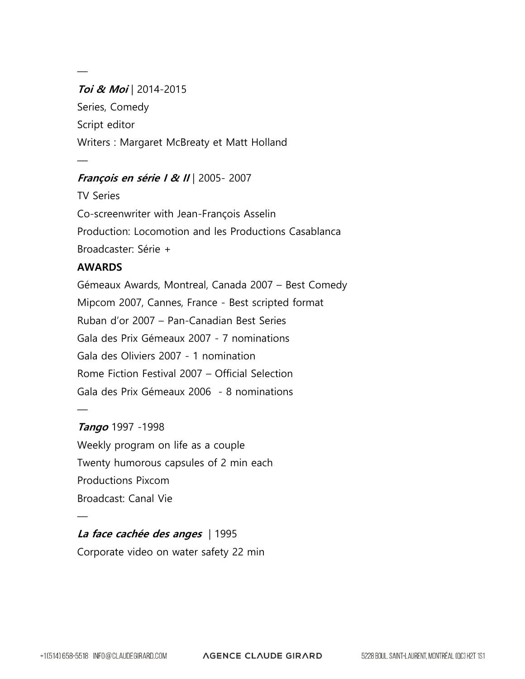### **Toi & Moi** | 2014-2015 Series, Comedy Script editor Writers : Margaret McBreaty et Matt Holland

#### **François en série I & II** | 2005- 2007

TV Series Co-screenwriter with Jean-François Asselin Production: Locomotion and les Productions Casablanca Broadcaster: Série +

#### **AWARDS**

—

—

Gémeaux Awards, Montreal, Canada 2007 – Best Comedy Mipcom 2007, Cannes, France - Best scripted format Ruban d'or 2007 – Pan-Canadian Best Series Gala des Prix Gémeaux 2007 - 7 nominations Gala des Oliviers 2007 - 1 nomination Rome Fiction Festival 2007 – Official Selection Gala des Prix Gémeaux 2006 - 8 nominations

#### **Tango** 1997 -1998

 $\frac{1}{\sqrt{2}}$ 

—

Weekly program on life as a couple Twenty humorous capsules of 2 min each Productions Pixcom Broadcast: Canal Vie

#### **La face cachée des anges** | 1995 Corporate video on water safety 22 min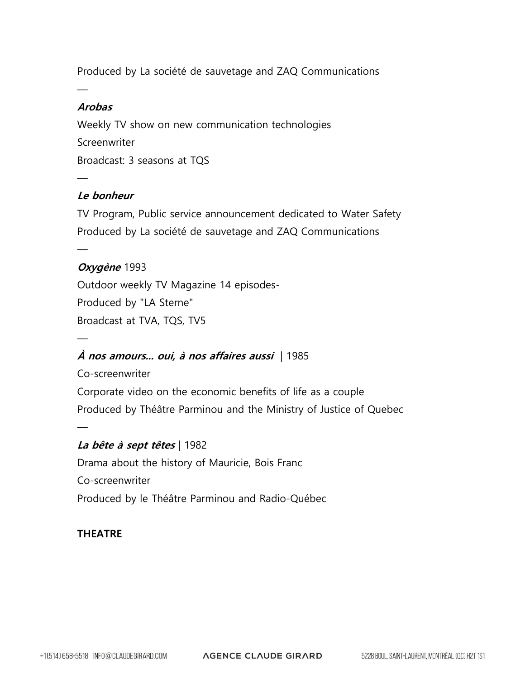Produced by La société de sauvetage and ZAQ Communications

#### **Arobas**

 $\frac{1}{\sqrt{2}}$ 

—

 $\frac{1}{\sqrt{2}}$ 

—

—

Weekly TV show on new communication technologies Screenwriter Broadcast: 3 seasons at TQS

#### **Le bonheur**

TV Program, Public service announcement dedicated to Water Safety Produced by La société de sauvetage and ZAQ Communications

#### **Oxygène** 1993

Outdoor weekly TV Magazine 14 episodes-Produced by "LA Sterne" Broadcast at TVA, TQS, TV5

#### **À nos amours... oui, à nos affaires aussi** | 1985

Co-screenwriter Corporate video on the economic benefits of life as a couple Produced by Théâtre Parminou and the Ministry of Justice of Quebec

#### **La bête à sept têtes** | 1982

Drama about the history of Mauricie, Bois Franc Co-screenwriter Produced by le Théâtre Parminou and Radio-Québec

#### **THEATRE**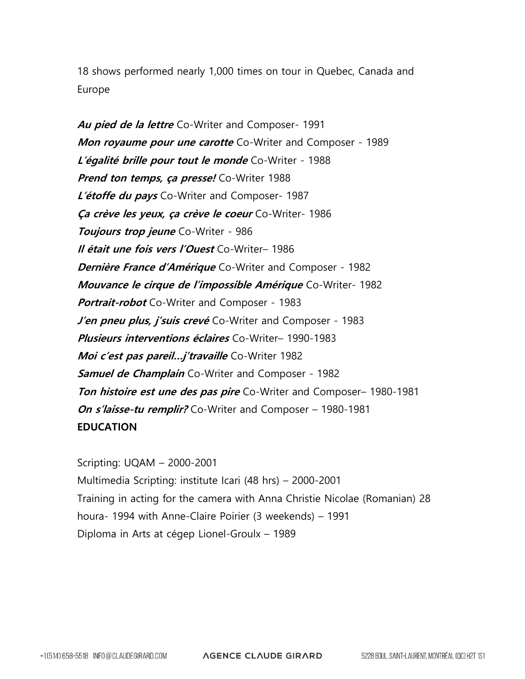18 shows performed nearly 1,000 times on tour in Quebec, Canada and Europe

**Au pied de la lettre** Co-Writer and Composer- 1991 **Mon royaume pour une carotte** Co-Writer and Composer - 1989 **L'égalité brille pour tout le monde** Co-Writer - 1988 **Prend ton temps, ça presse!** Co-Writer 1988 **L'étoffe du pays** Co-Writer and Composer- 1987 **Ça crève les yeux, ça crève le coeur** Co-Writer- 1986 **Toujours trop jeune** Co-Writer - 986 **Il était une fois vers l'Ouest** Co-Writer– 1986 **Dernière France d'Amérique** Co-Writer and Composer - 1982 **Mouvance le cirque de l'impossible Amérique** Co-Writer- 1982 **Portrait-robot** Co-Writer and Composer - 1983 **J'en pneu plus, j'suis crevé** Co-Writer and Composer - 1983 **Plusieurs interventions éclaires** Co-Writer– 1990-1983 **Moi c'est pas pareil…j'travaille** Co-Writer 1982 **Samuel de Champlain** Co-Writer and Composer - 1982 **Ton histoire est une des pas pire** Co-Writer and Composer– 1980-1981 **On s'laisse-tu remplir?** Co-Writer and Composer – 1980-1981 **EDUCATION**

Scripting: UQAM – 2000-2001 Multimedia Scripting: institute Icari (48 hrs) – 2000-2001 Training in acting for the camera with Anna Christie Nicolae (Romanian) 28 houra- 1994 with Anne-Claire Poirier (3 weekends) – 1991 Diploma in Arts at cégep Lionel-Groulx – 1989